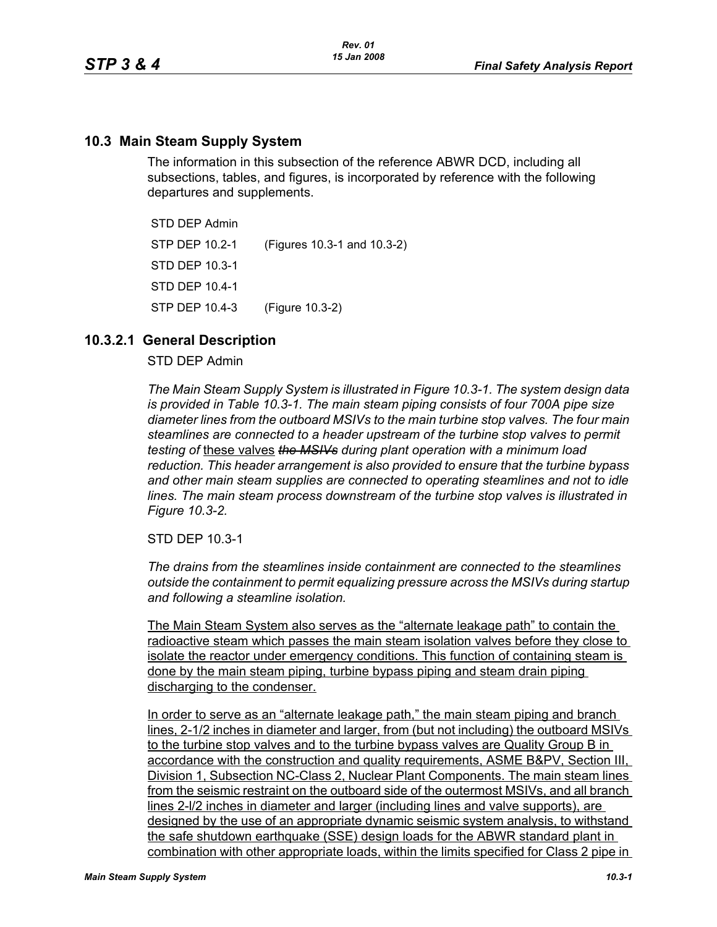## **10.3 Main Steam Supply System**

The information in this subsection of the reference ABWR DCD, including all subsections, tables, and figures, is incorporated by reference with the following departures and supplements.

STD DEP Admin STP DEP 10.2-1 (Figures 10.3-1 and 10.3-2) STD DEP 10.3-1 STD DEP 10.4-1 STP DEP 10.4-3 (Figure 10.3-2)

## **10.3.2.1 General Description**

#### STD DEP Admin

*The Main Steam Supply System is illustrated in Figure 10.3-1. The system design data is provided in Table 10.3-1. The main steam piping consists of four 700A pipe size diameter lines from the outboard MSIVs to the main turbine stop valves. The four main steamlines are connected to a header upstream of the turbine stop valves to permit testing of* these valves *the MSIVs during plant operation with a minimum load reduction. This header arrangement is also provided to ensure that the turbine bypass and other main steam supplies are connected to operating steamlines and not to idle lines. The main steam process downstream of the turbine stop valves is illustrated in Figure 10.3-2.*

STD DEP 10.3-1

*The drains from the steamlines inside containment are connected to the steamlines outside the containment to permit equalizing pressure across the MSIVs during startup and following a steamline isolation.*

The Main Steam System also serves as the "alternate leakage path" to contain the radioactive steam which passes the main steam isolation valves before they close to isolate the reactor under emergency conditions. This function of containing steam is done by the main steam piping, turbine bypass piping and steam drain piping discharging to the condenser.

In order to serve as an "alternate leakage path," the main steam piping and branch lines, 2-1/2 inches in diameter and larger, from (but not including) the outboard MSIVs to the turbine stop valves and to the turbine bypass valves are Quality Group B in accordance with the construction and quality requirements, ASME B&PV, Section III, Division 1. Subsection NC-Class 2, Nuclear Plant Components. The main steam lines from the seismic restraint on the outboard side of the outermost MSIVs, and all branch lines 2-l/2 inches in diameter and larger (including lines and valve supports), are designed by the use of an appropriate dynamic seismic system analysis, to withstand the safe shutdown earthquake (SSE) design loads for the ABWR standard plant in combination with other appropriate loads, within the limits specified for Class 2 pipe in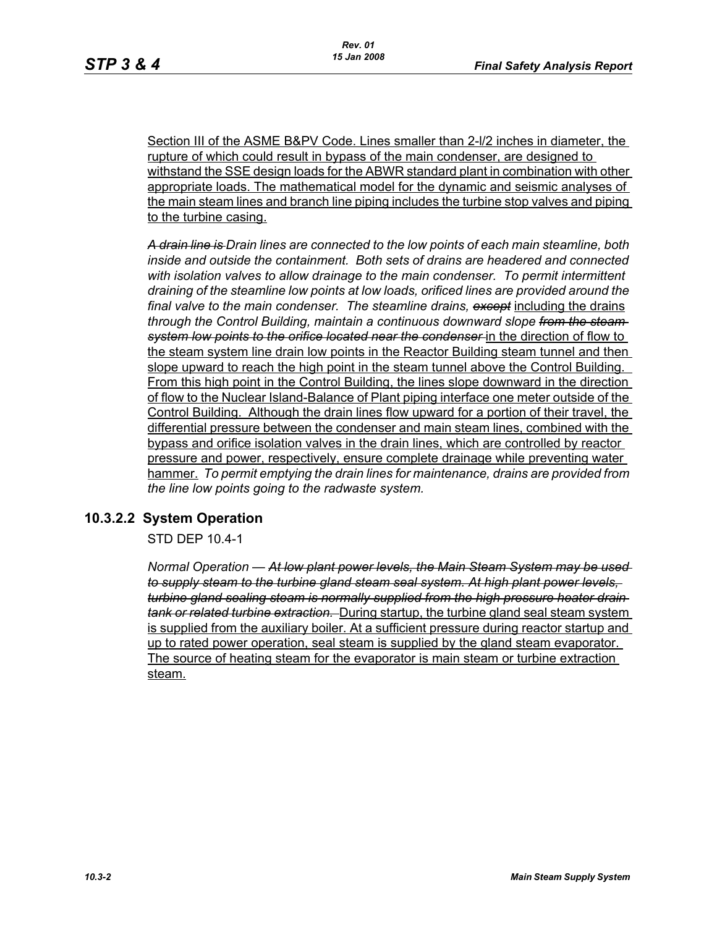Section III of the ASME B&PV Code. Lines smaller than 2-l/2 inches in diameter, the rupture of which could result in bypass of the main condenser, are designed to withstand the SSE design loads for the ABWR standard plant in combination with other appropriate loads. The mathematical model for the dynamic and seismic analyses of the main steam lines and branch line piping includes the turbine stop valves and piping to the turbine casing.

*A drain line is Drain lines are connected to the low points of each main steamline, both inside and outside the containment. Both sets of drains are headered and connected with isolation valves to allow drainage to the main condenser. To permit intermittent draining of the steamline low points at low loads, orificed lines are provided around the final valve to the main condenser. The steamline drains, except* including the drains *through the Control Building, maintain a continuous downward slope from the steam system low points to the orifice located near the condenser* in the direction of flow to the steam system line drain low points in the Reactor Building steam tunnel and then slope upward to reach the high point in the steam tunnel above the Control Building. From this high point in the Control Building, the lines slope downward in the direction of flow to the Nuclear Island-Balance of Plant piping interface one meter outside of the Control Building. Although the drain lines flow upward for a portion of their travel, the differential pressure between the condenser and main steam lines, combined with the bypass and orifice isolation valves in the drain lines, which are controlled by reactor pressure and power, respectively, ensure complete drainage while preventing water hammer. *To permit emptying the drain lines for maintenance, drains are provided from the line low points going to the radwaste system.*

# **10.3.2.2 System Operation**

STD DEP 10.4-1

*Normal Operation — At low plant power levels, the Main Steam System may be used to supply steam to the turbine gland steam seal system. At high plant power levels, turbine gland sealing steam is normally supplied from the high pressure heater drain tank or related turbine extraction.* During startup, the turbine gland seal steam system is supplied from the auxiliary boiler. At a sufficient pressure during reactor startup and up to rated power operation, seal steam is supplied by the gland steam evaporator. The source of heating steam for the evaporator is main steam or turbine extraction steam.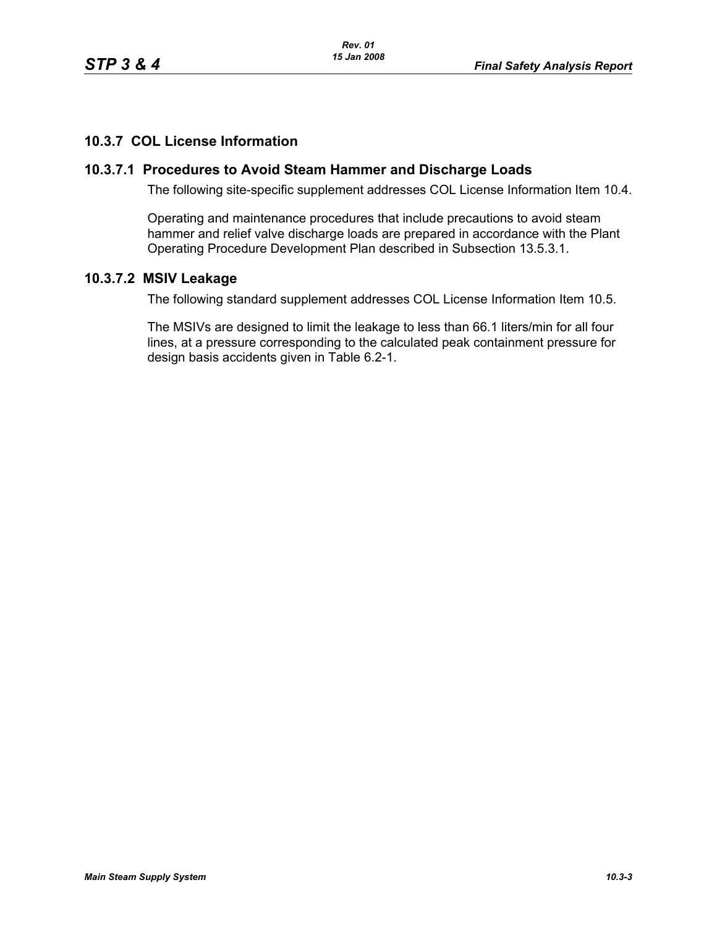# **10.3.7 COL License Information**

### **10.3.7.1 Procedures to Avoid Steam Hammer and Discharge Loads**

The following site-specific supplement addresses COL License Information Item 10.4.

Operating and maintenance procedures that include precautions to avoid steam hammer and relief valve discharge loads are prepared in accordance with the Plant Operating Procedure Development Plan described in Subsection 13.5.3.1.

#### **10.3.7.2 MSIV Leakage**

The following standard supplement addresses COL License Information Item 10.5.

The MSIVs are designed to limit the leakage to less than 66.1 liters/min for all four lines, at a pressure corresponding to the calculated peak containment pressure for design basis accidents given in Table 6.2-1.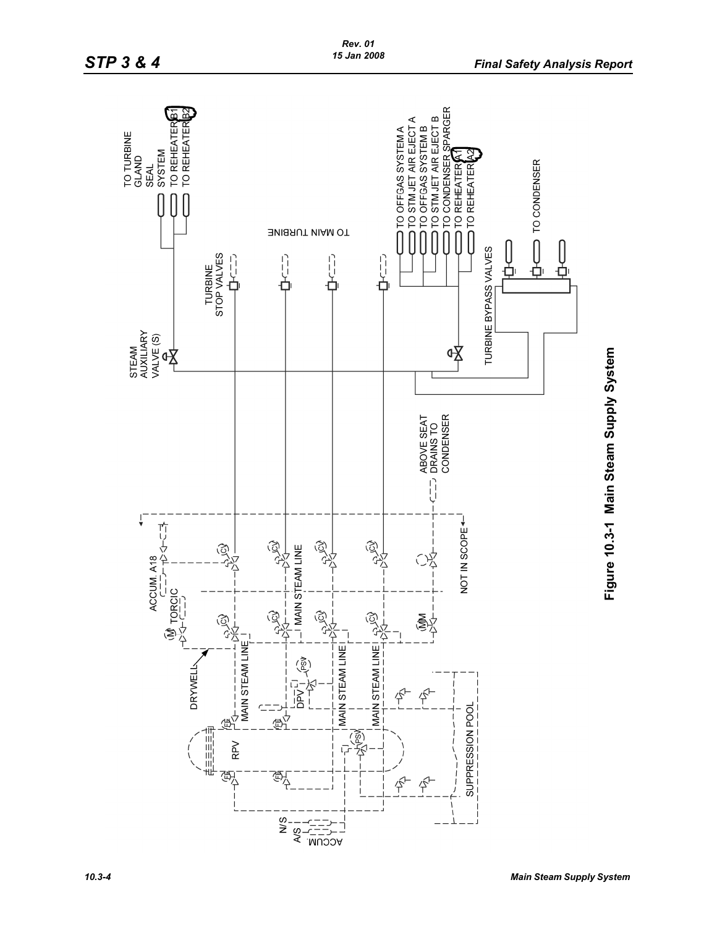

Figure 10.3-1 Main Steam Supply System **Figure 10.3-1 Main Steam Supply System**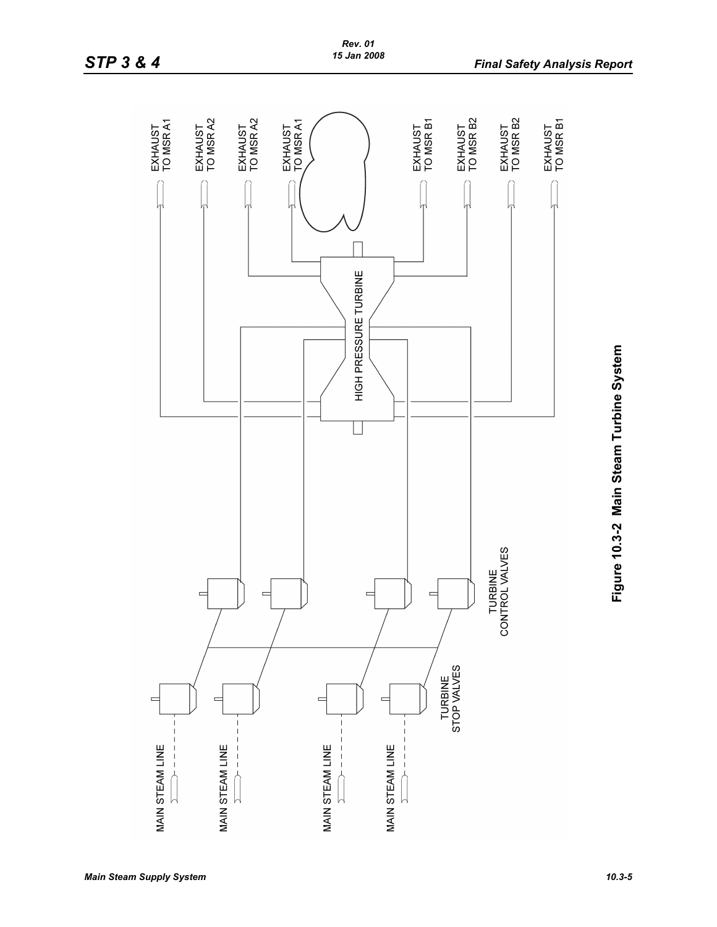